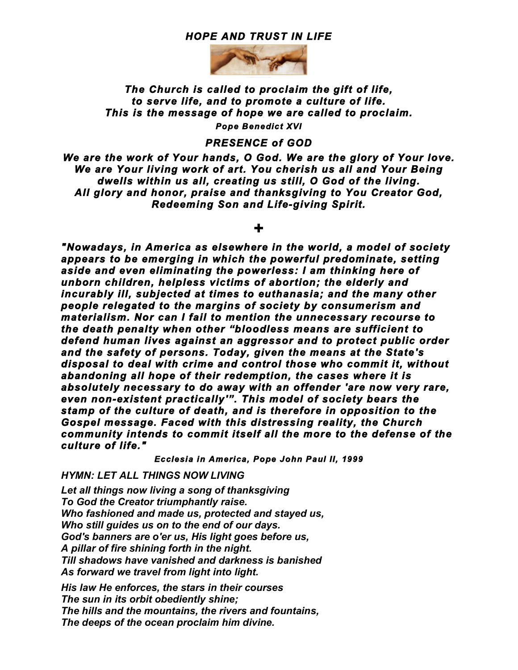# *HOPE AND TRUST IN LIFE*



# *The Church is called to proclaim the gift of life, to serve life, and to promote a culture of life. This is the message of hope we are called to proclaim. Pope Benedict XVI*

# *PRESENCE of GOD*

*We are the work of Your hands, O God. We are the glory of Your love. We are Your living work of art. You cherish us all and Your Being dwells within us all, creating us still, O God of the living. All glory and honor, praise and thanksgiving to You Creator God, Redeeming Son and Life-giving Spirit.* 

+

*"Nowadays, in America as elsewhere in the world, a model of society appears to be emerging in which the powerful predominate, setting aside and even eliminating the powerless: I am thinking here of unborn children, helpless victims of abortion; the elderly and incurably ill, subjected at times to euthanasia; and the many other people relegated to the margins of society by consumerism and materialism. Nor can I fail to mention the unnecessary recourse to the death penalty when other "bloodless means are sufficient to defend human lives against an aggressor and to protect public order and the safety of persons. Today, given the means at the State's disposal to deal with crime and control those who commit it, without abandoning all hope of their redemption, the cases where it is absolutely necessary to do away with an offender 'are now very rare, even non-existent practically'". This model of society bears the stamp of the culture of death, and is therefore in opposition to the Gospel message. Faced with this distressing reality, the Church community intends to commit itself all the more to the defense of the culture of life."* 

*Ecclesia in America, Pope John Paul II, 1999* 

*HYMN: LET ALL THINGS NOW LIVING*

*Let all things now living a song of thanksgiving To God the Creator triumphantly raise. Who fashioned and made us, protected and stayed us, Who still guides us on to the end of our days. God's banners are o'er us, His light goes before us, A pillar of fire shining forth in the night. Till shadows have vanished and darkness is banished As forward we travel from light into light.*

*His law He enforces, the stars in their courses The sun in its orbit obediently shine; The hills and the mountains, the rivers and fountains, The deeps of the ocean proclaim him divine.*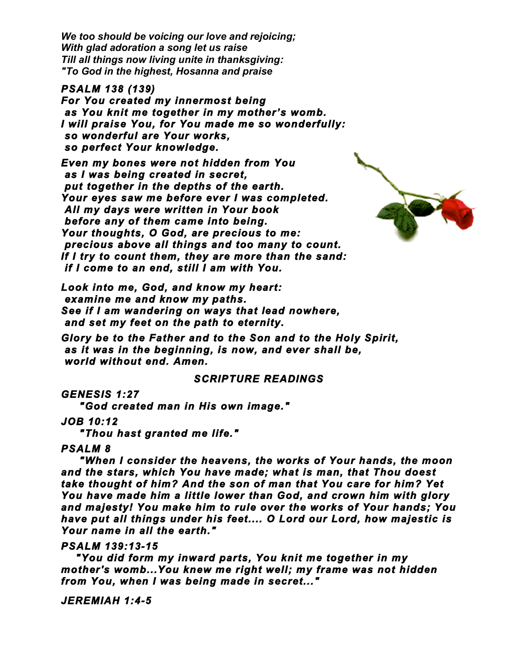*We too should be voicing our love and rejoicing; With glad adoration a song let us raise Till all things now living unite in thanksgiving: "To God in the highest, Hosanna and praise*

# *PSALM 138 (139)*

*For You created my innermost being as You knit me together in my mother's womb. I will praise You, for You made me so wonderfully: so wonderful are Your works, so perfect Your knowledge.* 

*Even my bones were not hidden from You as I was being created in secret, put together in the depths of the earth. Your eyes saw me before ever I was completed. All my days were written in Your book before any of them came into being. Your thoughts, O God, are precious to me: precious above all things and too many to count. If I try to count them, they are more than the sand: if I come to an end, still I am with You.* 



*Look into me, God, and know my heart: examine me and know my paths. See if I am wandering on ways that lead nowhere, and set my feet on the path to eternity.* 

*Glory be to the Father and to the Son and to the Holy Spirit, as it was in the beginning, is now, and ever shall be, world without end. Amen.*

#### *SCRIPTURE READINGS*

#### *GENESIS 1:27*

 *"God created man in His own image."* 

#### *JOB 10:12*

 *"Thou hast granted me life."* 

### *PSALM 8*

 *"When I consider the heavens, the works of Your hands, the moon and the stars, which You have made; what is man, that Thou doest take thought of him? And the son of man that You care for him? Yet You have made him a little lower than God, and crown him with glory and majesty! You make him to rule over the works of Your hands; You have put all things under his feet.... O Lord our Lord, how majestic is Your name in all the earth."* 

### *PSALM 139:13-15*

 *"You did form my inward parts, You knit me together in my mother's womb...You knew me right well; my frame was not hidden from You, when I was being made in secret..."* 

*JEREMIAH 1:4-5*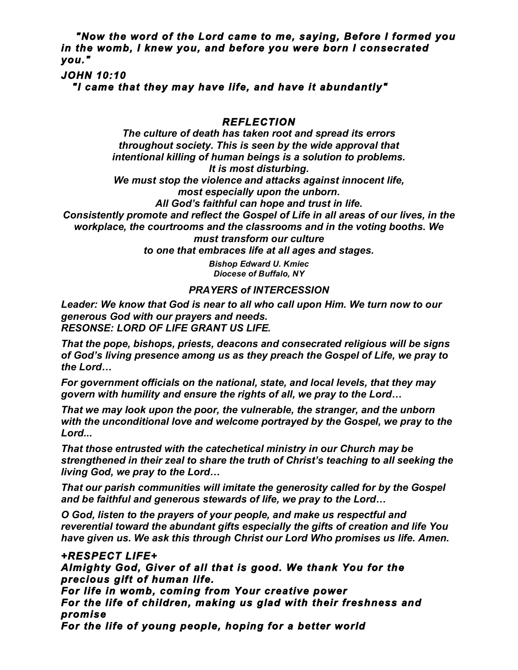*"Now the word of the Lord came to me, saying, Before I formed you in the womb, I knew you, and before you were born I consecrated you."* 

# *JOHN 10:10*

 *"I came that they may have life, and have it abundantly"* 

# *REFLECTION*

*The culture of death has taken root and spread its errors throughout society. This is seen by the wide approval that intentional killing of human beings is a solution to problems. It is most disturbing.* 

*We must stop the violence and attacks against innocent life, most especially upon the unborn.* 

*All God's faithful can hope and trust in life.*

*Consistently promote and reflect the Gospel of Life in all areas of our lives, in the workplace, the courtrooms and the classrooms and in the voting booths. We must transform our culture* 

*to one that embraces life at all ages and stages.*

*Bishop Edward U. Kmiec Diocese of Buffalo, NY*

# *PRAYERS of INTERCESSION*

*Leader: We know that God is near to all who call upon Him. We turn now to our generous God with our prayers and needs. RESONSE: LORD OF LIFE GRANT US LIFE.*

*That the pope, bishops, priests, deacons and consecrated religious will be signs of God's living presence among us as they preach the Gospel of Life, we pray to the Lord…*

*For government officials on the national, state, and local levels, that they may govern with humility and ensure the rights of all, we pray to the Lord…*

*That we may look upon the poor, the vulnerable, the stranger, and the unborn with the unconditional love and welcome portrayed by the Gospel, we pray to the Lord...*

*That those entrusted with the catechetical ministry in our Church may be strengthened in their zeal to share the truth of Christ's teaching to all seeking the living God, we pray to the Lord…*

*That our parish communities will imitate the generosity called for by the Gospel and be faithful and generous stewards of life, we pray to the Lord…*

*O God, listen to the prayers of your people, and make us respectful and reverential toward the abundant gifts especially the gifts of creation and life You have given us. We ask this through Christ our Lord Who promises us life. Amen.*

# *+RESPECT LIFE+*

*Almighty God, Giver of all that is good. We thank You for the precious gift of human life.* 

*For life in womb, coming from Your creative power For the life of children, making us glad with their freshness and promise* 

*For the life of young people, hoping for a better world*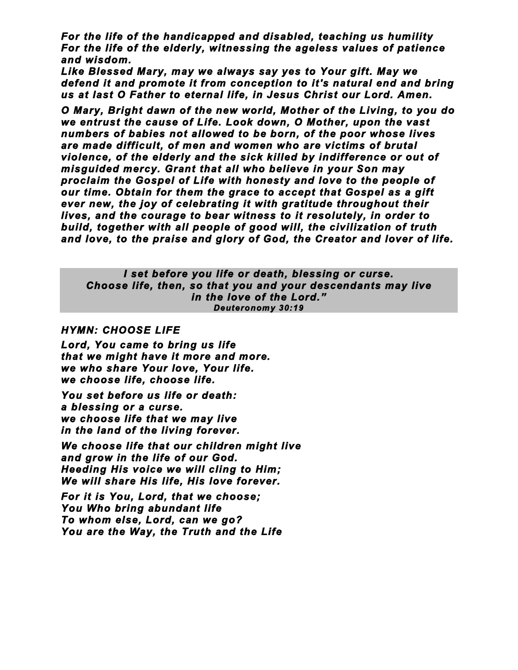*For the life of the handicapped and disabled, teaching us humility For the life of the elderly, witnessing the ageless values of patience and wisdom.* 

*Like Blessed Mary, may we always say yes to Your gift. May we defend it and promote it from conception to it's natural end and bring us at last O Father to eternal life, in Jesus Christ our Lord. Amen.* 

*O Mary, Bright dawn of the new world, Mother of the Living, to you do we entrust the cause of Life. Look down, O Mother, upon the vast numbers of babies not allowed to be born, of the poor whose lives are made difficult, of men and women who are victims of brutal violence, of the elderly and the sick killed by indifference or out of misguided mercy. Grant that all who believe in your Son may proclaim the Gospel of Life with honesty and love to the people of our time. Obtain for them the grace to accept that Gospel as a gift ever new, the joy of celebrating it with gratitude throughout their lives, and the courage to bear witness to it resolutely, in order to build, together with all people of good will, the civilization of truth and love, to the praise and glory of God, the Creator and lover of life.* 

*I set before you life or death, blessing or curse. Choose life, then, so that you and your descendants may live in the love of the Lord." Deuteronomy 30:19* 

#### *HYMN: CHOOSE LIFE*

*Lord, You came to bring us life that we might have it more and more. we who share Your love, Your life. we choose life, choose life.* 

*You set before us life or death: a blessing or a curse. we choose life that we may live in the land of the living forever.* 

*We choose life that our children might live and grow in the life of our God. Heeding His voice we will cling to Him; We will share His life, His love forever.* 

*For it is You, Lord, that we choose; You Who bring abundant life To whom else, Lord, can we go? You are the Way, the Truth and the Life*